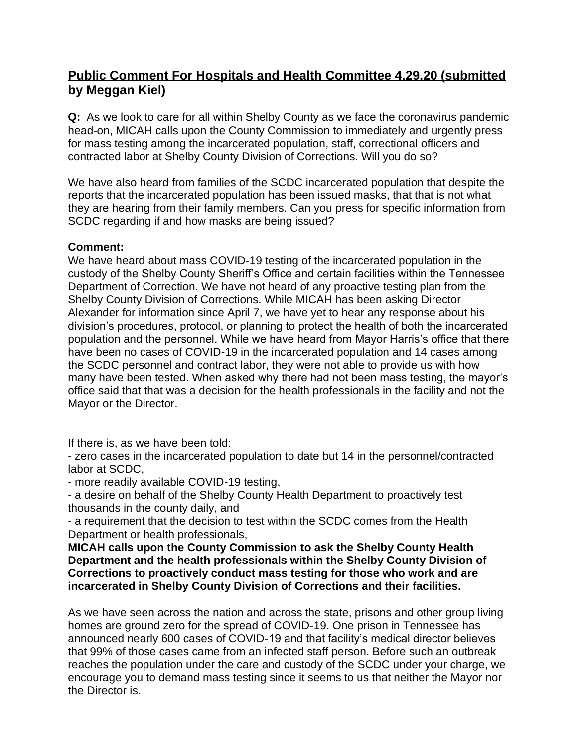# **Public Comment For Hospitals and Health Committee 4.29.20 (submitted by Meggan Kiel)**

**Q:** As we look to care for all within Shelby County as we face the coronavirus pandemic head-on, MICAH calls upon the County Commission to immediately and urgently press for mass testing among the incarcerated population, staff, correctional officers and contracted labor at Shelby County Division of Corrections. Will you do so?

We have also heard from families of the SCDC incarcerated population that despite the reports that the incarcerated population has been issued masks, that that is not what they are hearing from their family members. Can you press for specific information from SCDC regarding if and how masks are being issued?

### **Comment:**

We have heard about mass COVID-19 testing of the incarcerated population in the custody of the Shelby County Sheriff's Office and certain facilities within the Tennessee Department of Correction. We have not heard of any proactive testing plan from the Shelby County Division of Corrections. While MICAH has been asking Director Alexander for information since April 7, we have yet to hear any response about his division's procedures, protocol, or planning to protect the health of both the incarcerated population and the personnel. While we have heard from Mayor Harris's office that there have been no cases of COVID-19 in the incarcerated population and 14 cases among the SCDC personnel and contract labor, they were not able to provide us with how many have been tested. When asked why there had not been mass testing, the mayor's office said that that was a decision for the health professionals in the facility and not the Mayor or the Director.

If there is, as we have been told:

- zero cases in the incarcerated population to date but 14 in the personnel/contracted labor at SCDC,

- more readily available COVID-19 testing,

- a desire on behalf of the Shelby County Health Department to proactively test thousands in the county daily, and

- a requirement that the decision to test within the SCDC comes from the Health Department or health professionals,

**MICAH calls upon the County Commission to ask the Shelby County Health Department and the health professionals within the Shelby County Division of Corrections to proactively conduct mass testing for those who work and are incarcerated in Shelby County Division of Corrections and their facilities.**

As we have seen across the nation and across the state, prisons and other group living homes are ground zero for the spread of COVID-19. One prison in Tennessee has announced nearly 600 cases of COVID-19 and that facility's medical director believes that 99% of those cases came from an infected staff person. Before such an outbreak reaches the population under the care and custody of the SCDC under your charge, we encourage you to demand mass testing since it seems to us that neither the Mayor nor the Director is.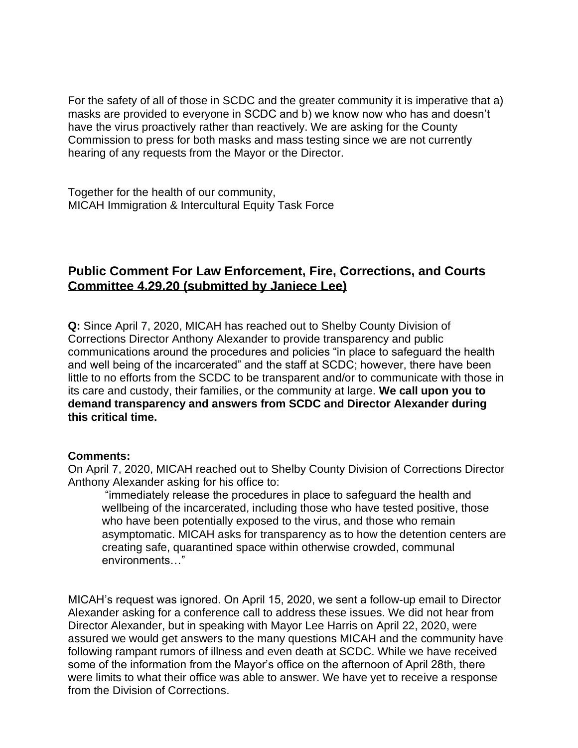For the safety of all of those in SCDC and the greater community it is imperative that a) masks are provided to everyone in SCDC and b) we know now who has and doesn't have the virus proactively rather than reactively. We are asking for the County Commission to press for both masks and mass testing since we are not currently hearing of any requests from the Mayor or the Director.

Together for the health of our community, MICAH Immigration & Intercultural Equity Task Force

## **Public Comment For Law Enforcement, Fire, Corrections, and Courts Committee 4.29.20 (submitted by Janiece Lee)**

**Q:** Since April 7, 2020, MICAH has reached out to Shelby County Division of Corrections Director Anthony Alexander to provide transparency and public communications around the procedures and policies "in place to safeguard the health and well being of the incarcerated" and the staff at SCDC; however, there have been little to no efforts from the SCDC to be transparent and/or to communicate with those in its care and custody, their families, or the community at large. **We call upon you to demand transparency and answers from SCDC and Director Alexander during this critical time.**

#### **Comments:**

On April 7, 2020, MICAH reached out to Shelby County Division of Corrections Director Anthony Alexander asking for his office to:

"immediately release the procedures in place to safeguard the health and wellbeing of the incarcerated, including those who have tested positive, those who have been potentially exposed to the virus, and those who remain asymptomatic. MICAH asks for transparency as to how the detention centers are creating safe, quarantined space within otherwise crowded, communal environments…"

MICAH's request was ignored. On April 15, 2020, we sent a follow-up email to Director Alexander asking for a conference call to address these issues. We did not hear from Director Alexander, but in speaking with Mayor Lee Harris on April 22, 2020, were assured we would get answers to the many questions MICAH and the community have following rampant rumors of illness and even death at SCDC. While we have received some of the information from the Mayor's office on the afternoon of April 28th, there were limits to what their office was able to answer. We have yet to receive a response from the Division of Corrections.